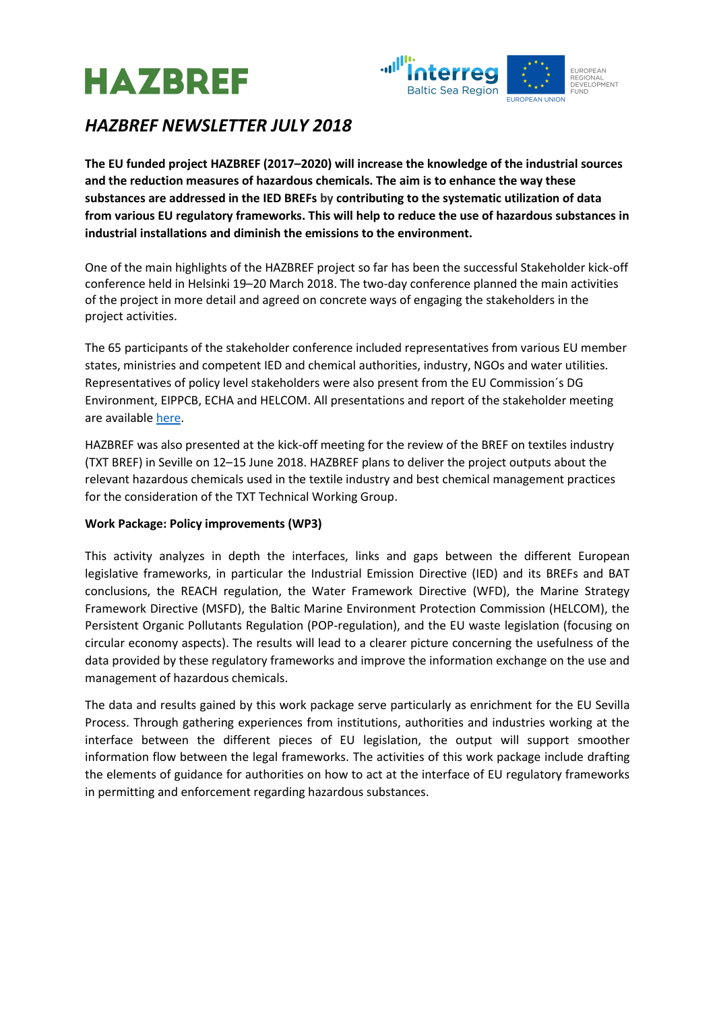



# *HAZBREF NEWSLETTER JULY 2018*

**The EU funded project HAZBREF (2017–2020) will increase the knowledge of the industrial sources and the reduction measures of hazardous chemicals. The aim is to enhance the way these substances are addressed in the IED BREFs by contributing to the systematic utilization of data from various EU regulatory frameworks. This will help to reduce the use of hazardous substances in industrial installations and diminish the emissions to the environment.**

One of the main highlights of the HAZBREF project so far has been the successful Stakeholder kick-off conference held in Helsinki 19–20 March 2018. The two-day conference planned the main activities of the project in more detail and agreed on concrete ways of engaging the stakeholders in the project activities.

The 65 participants of the stakeholder conference included representatives from various EU member states, ministries and competent IED and chemical authorities, industry, NGOs and water utilities. Representatives of policy level stakeholders were also present from the EU Commission´s DG Environment, EIPPCB, ECHA and HELCOM. All presentations and report of the stakeholder meeting are available [here.](http://www.syke.fi/en-US/Research__Development/Research_and_development_projects/Projects/Hazardous_industrial_chemicals_in_the_IED_BREFs_HAZBREF/Events_and_meetings)

HAZBREF was also presented at the kick-off meeting for the review of the BREF on textiles industry (TXT BREF) in Seville on 12–15 June 2018. HAZBREF plans to deliver the project outputs about the relevant hazardous chemicals used in the textile industry and best chemical management practices for the consideration of the TXT Technical Working Group.

## **Work Package: Policy improvements (WP3)**

This activity analyzes in depth the interfaces, links and gaps between the different European legislative frameworks, in particular the Industrial Emission Directive (IED) and its BREFs and BAT conclusions, the REACH regulation, the Water Framework Directive (WFD), the Marine Strategy Framework Directive (MSFD), the Baltic Marine Environment Protection Commission (HELCOM), the Persistent Organic Pollutants Regulation (POP-regulation), and the EU waste legislation (focusing on circular economy aspects). The results will lead to a clearer picture concerning the usefulness of the data provided by these regulatory frameworks and improve the information exchange on the use and management of hazardous chemicals.

The data and results gained by this work package serve particularly as enrichment for the EU Sevilla Process. Through gathering experiences from institutions, authorities and industries working at the interface between the different pieces of EU legislation, the output will support smoother information flow between the legal frameworks. The activities of this work package include drafting the elements of guidance for authorities on how to act at the interface of EU regulatory frameworks in permitting and enforcement regarding hazardous substances.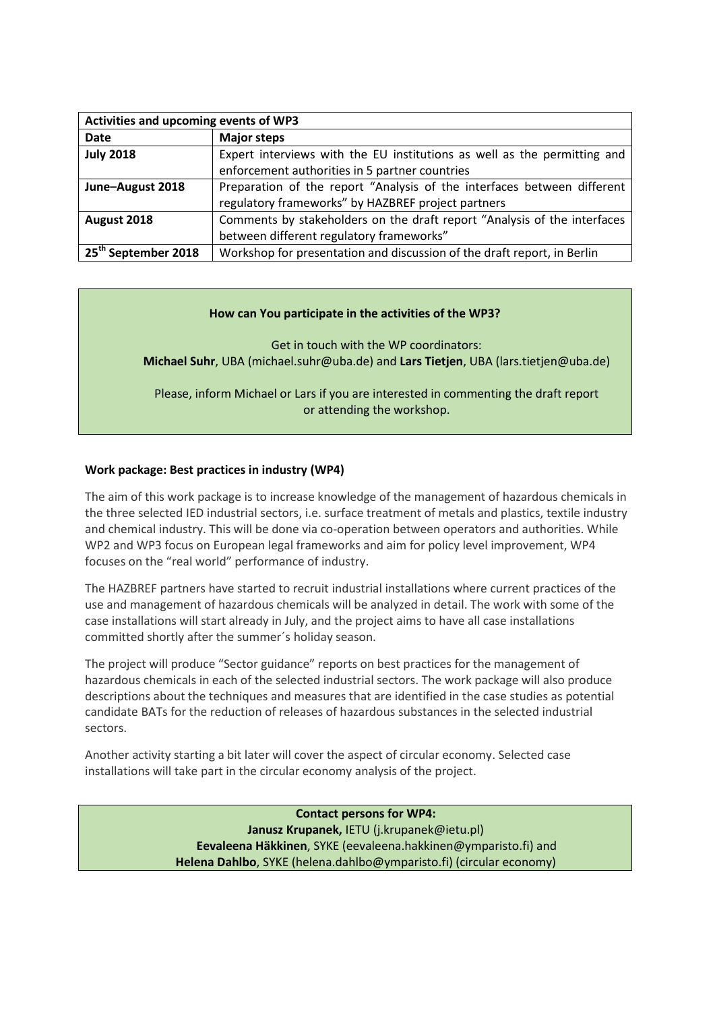| Activities and upcoming events of WP3 |                                                                          |
|---------------------------------------|--------------------------------------------------------------------------|
| Date                                  | <b>Major steps</b>                                                       |
| <b>July 2018</b>                      | Expert interviews with the EU institutions as well as the permitting and |
|                                       | enforcement authorities in 5 partner countries                           |
| June-August 2018                      | Preparation of the report "Analysis of the interfaces between different  |
|                                       | regulatory frameworks" by HAZBREF project partners                       |
| August 2018                           | Comments by stakeholders on the draft report "Analysis of the interfaces |
|                                       | between different regulatory frameworks"                                 |
| 25 <sup>th</sup> September 2018       | Workshop for presentation and discussion of the draft report, in Berlin  |

### **How can You participate in the activities of the WP3?**

Get in touch with the WP coordinators: **Michael Suhr**, UBA (michael.suhr@uba.de) and **Lars Tietjen**, UBA (lars.tietjen@uba.de)

Please, inform Michael or Lars if you are interested in commenting the draft report or attending the workshop.

### **Work package: Best practices in industry (WP4)**

The aim of this work package is to increase knowledge of the management of hazardous chemicals in the three selected IED industrial sectors, i.e. surface treatment of metals and plastics, textile industry and chemical industry. This will be done via co-operation between operators and authorities. While WP2 and WP3 focus on European legal frameworks and aim for policy level improvement, WP4 focuses on the "real world" performance of industry.

The HAZBREF partners have started to recruit industrial installations where current practices of the use and management of hazardous chemicals will be analyzed in detail. The work with some of the case installations will start already in July, and the project aims to have all case installations committed shortly after the summer´s holiday season.

The project will produce "Sector guidance" reports on best practices for the management of hazardous chemicals in each of the selected industrial sectors. The work package will also produce descriptions about the techniques and measures that are identified in the case studies as potential candidate BATs for the reduction of releases of hazardous substances in the selected industrial sectors.

Another activity starting a bit later will cover the aspect of circular economy. Selected case installations will take part in the circular economy analysis of the project.

> **Contact persons for WP4: Janusz Krupanek,** IETU (j.krupanek@ietu.pl) **Eevaleena Häkkinen**, SYKE (eevaleena.hakkinen@ymparisto.fi) and **Helena Dahlbo**, SYKE (helena.dahlbo@ymparisto.fi) (circular economy)